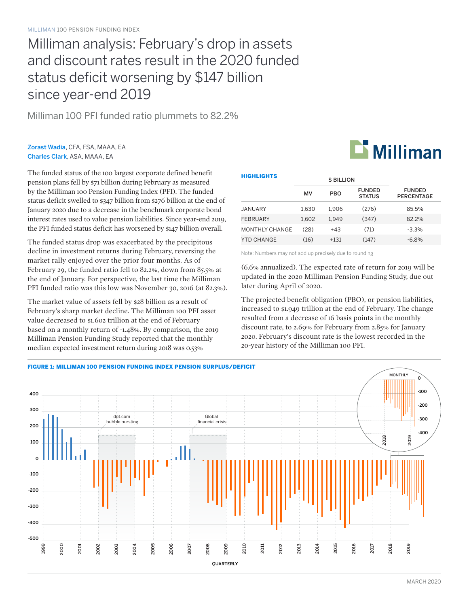# Milliman analysis: February's drop in assets and discount rates result in the 2020 funded status deficit worsening by \$147 billion since year-end 2019

Milliman 100 PFI funded ratio plummets to 82.2%

### Zorast Wadia, CFA, FSA, MAAA, EA Charles Clark, ASA, MAAA, EA

The funded status of the 100 largest corporate defined benefit pension plans fell by \$71 billion during February as measured by the Milliman 100 Pension Funding Index (PFI). The funded status deficit swelled to \$347 billion from \$276 billion at the end of January 2020 due to a decrease in the benchmark corporate bond interest rates used to value pension liabilities. Since year-end 2019, the PFI funded status deficit has worsened by \$147 billion overall.

The funded status drop was exacerbated by the precipitous decline in investment returns during February, reversing the market rally enjoyed over the prior four months. As of February 29, the funded ratio fell to 82.2%, down from 85.5% at the end of January. For perspective, the last time the Milliman PFI funded ratio was this low was November 30, 2016 (at 82.3%).

The market value of assets fell by \$28 billion as a result of February's sharp market decline. The Milliman 100 PFI asset value decreased to \$1.602 trillion at the end of February based on a monthly return of -1.48%. By comparison, the 2019 Milliman Pension Funding Study reported that the monthly median expected investment return during 2018 was 0.53%

| <b>HIGHLIGHTS</b>     |       | <b>\$ BILLION</b> |                                |                                    |
|-----------------------|-------|-------------------|--------------------------------|------------------------------------|
|                       | MV    | <b>PBO</b>        | <b>FUNDED</b><br><b>STATUS</b> | <b>FUNDED</b><br><b>PERCENTAGE</b> |
| JANUARY               | 1.630 | 1.906             | (276)                          | 85.5%                              |
| FEBRUARY              | 1.602 | 1.949             | (347)                          | 82.2%                              |
| <b>MONTHLY CHANGE</b> | (28)  | $+43$             | (71)                           | $-3.3\%$                           |
| YTD CHANGE            | (16)  | $+131$            | (147)                          | $-6.8\%$                           |

Note: Numbers may not add up precisely due to rounding

(6.6% annualized). The expected rate of return for 2019 will be updated in the 2020 Milliman Pension Funding Study, due out later during April of 2020.

The projected benefit obligation (PBO), or pension liabilities, increased to \$1.949 trillion at the end of February. The change resulted from a decrease of 16 basis points in the monthly discount rate, to 2.69% for February from 2.85% for January 2020. February's discount rate is the lowest recorded in the 20-year history of the Milliman 100 PFI.



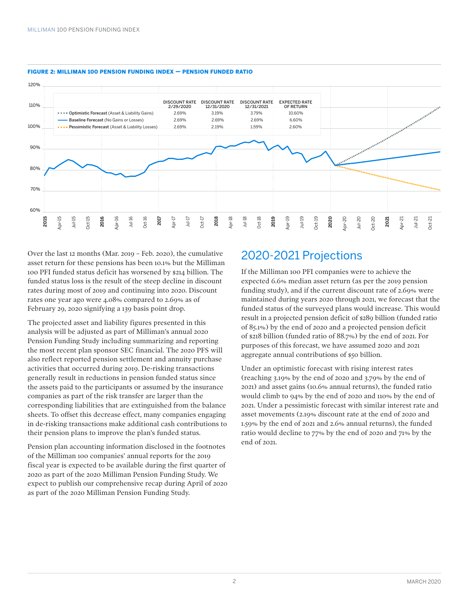

#### FIGURE 2: MILLIMAN 100 PENSION FUNDING INDEX — PENSION FUNDED RATIO

Over the last 12 months (Mar. 2019 – Feb. 2020), the cumulative asset return for these pensions has been 10.1% but the Milliman 100 PFI funded status deficit has worsened by \$214 billion. The funded status loss is the result of the steep decline in discount rates during most of 2019 and continuing into 2020. Discount rates one year ago were 4.08% compared to 2.69% as of February 29, 2020 signifying a 139 basis point drop.

The projected asset and liability figures presented in this analysis will be adjusted as part of Milliman's annual 2020 Pension Funding Study including summarizing and reporting the most recent plan sponsor SEC financial. The 2020 PFS will also reflect reported pension settlement and annuity purchase activities that occurred during 2019. De-risking transactions generally result in reductions in pension funded status since the assets paid to the participants or assumed by the insurance companies as part of the risk transfer are larger than the corresponding liabilities that are extinguished from the balance sheets. To offset this decrease effect, many companies engaging in de-risking transactions make additional cash contributions to their pension plans to improve the plan's funded status.

Pension plan accounting information disclosed in the footnotes of the Milliman 100 companies' annual reports for the 2019 fiscal year is expected to be available during the first quarter of 2020 as part of the 2020 Milliman Pension Funding Study. We expect to publish our comprehensive recap during April of 2020 as part of the 2020 Milliman Pension Funding Study.

## 2020-2021 Projections

If the Milliman 100 PFI companies were to achieve the expected 6.6% median asset return (as per the 2019 pension funding study), and if the current discount rate of 2.69% were maintained during years 2020 through 2021, we forecast that the funded status of the surveyed plans would increase. This would result in a projected pension deficit of \$289 billion (funded ratio of 85.1%) by the end of 2020 and a projected pension deficit of \$218 billion (funded ratio of 88.7%) by the end of 2021. For purposes of this forecast, we have assumed 2020 and 2021 aggregate annual contributions of \$50 billion.

Under an optimistic forecast with rising interest rates (reaching 3.19% by the end of 2020 and 3.79% by the end of 2021) and asset gains (10.6% annual returns), the funded ratio would climb to 94% by the end of 2020 and 110% by the end of 2021. Under a pessimistic forecast with similar interest rate and asset movements (2.19% discount rate at the end of 2020 and 1.59% by the end of 2021 and 2.6% annual returns), the funded ratio would decline to 77% by the end of 2020 and 71% by the end of 2021.